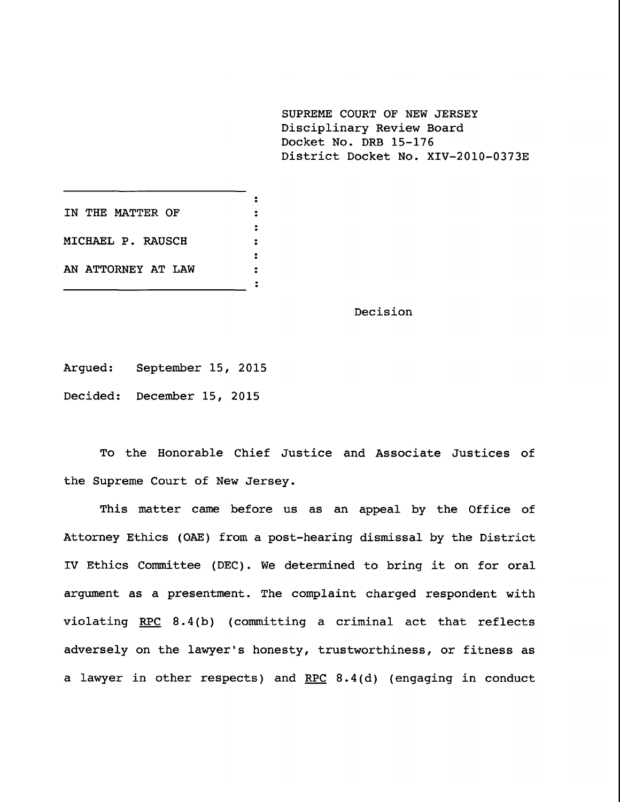**SUPREME COURT OF NEW JERSEY** Disciplinary Review Board Docket No. DRB 15-176 District Docket No. XIV-2010-0373E

 $\ddot{\cdot}$ **IN THE MATTER OF**  $\ddot{\bullet}$  $\ddot{\phantom{a}}$ **MICHAEL P. RAUSCH**  $\ddot{\mathbf{r}}$  $\ddot{\cdot}$ **AN ATTORNEY AT LAW**  $\ddot{\cdot}$  $\ddot{\bullet}$ 

Decision

Argued: September 15, 2015

Decided: December 15, 2015

To the Honorable Chief Justice and Associate Justices of the Supreme Court of New Jersey.

This matter came before us as an appeal by the Office of Attorney Ethics (OAE) from a post-hearing dismissal by the District IV Ethics Committee (DEC). We determined to bring it on for oral argument as a presentment. The complaint charged respondent with violating RPC 8.4(b) (committing a criminal act that reflects adversely on the lawyer's honesty, trustworthiness, or fitness as a lawyer in other respects) and RPC  $8.4(d)$  (engaging in conduct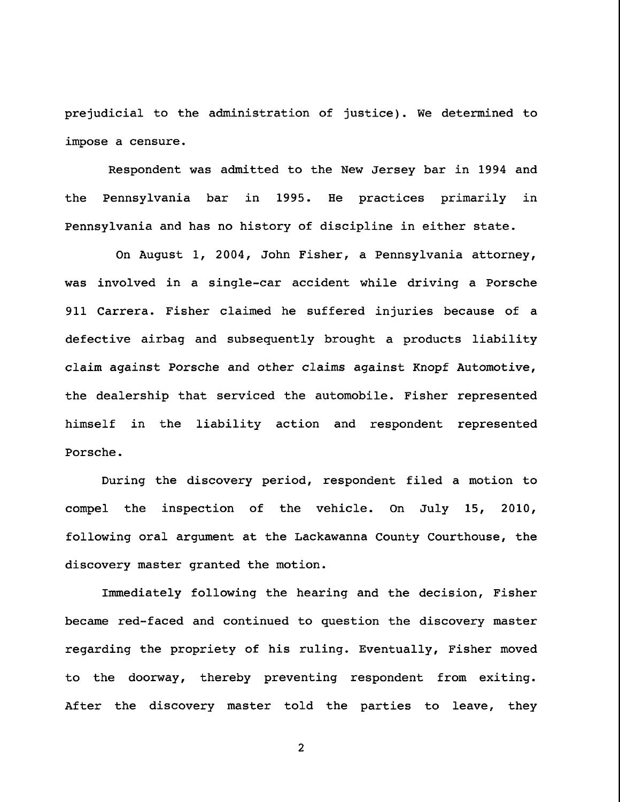prejudicial to the administration of justice). We determined to impose a censure.

Respondent was admitted to the New Jersey bar in 1994 and the Pennsylvania bar in 1995. He practices primarily in Pennsylvania and has no history of discipline in either state.

On August i, 2004, John Fisher, a Pennsylvania attorney, was involved in a single-car accident while driving a Porsche 911 Carrera. Fisher claimed he suffered injuries because of a defective airbag and subsequently brought a products liability claim against Porsche and other claims against Knopf Automotive, the dealership that serviced the automobile. Fisher represented himself in the liability action and respondent represented Porsche.

During the discovery period, respondent filed a motion to compel the inspection of the vehicle. On July 15, 2010, following oral argument at the Lackawanna County Courthouse, the discovery master granted the motion.

Immediately following the hearing and the decision, Fisher became red-faced and continued to question the discovery master regarding the propriety of his ruling. Eventually, Fisher moved to the doorway, thereby preventing respondent from exiting. After the discovery master told the parties to leave, they

 $\overline{c}$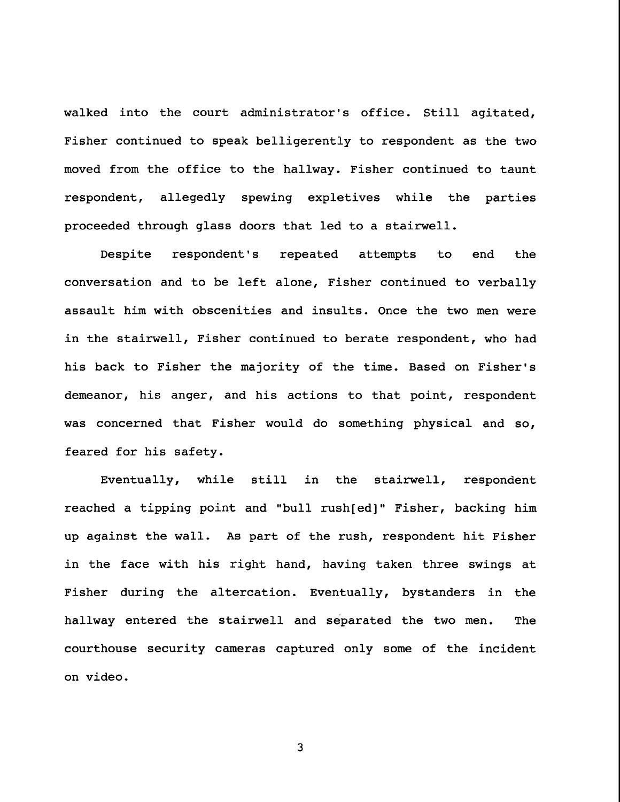walked into the court administrator's office. Still agitated, Fisher continued to speak belligerently to respondent as the two moved from the office to the hallway. Fisher continued to taunt respondent, allegedly spewing expletives while the parties proceeded through glass doors that led to a stairwell.

Despite respondent's repeated attempts to end the conversation and to be left alone, Fisher continued to verbally assault him with obscenities and insults. Once the two men were in the stairwell, Fisher continued to berate respondent, who had his back to Fisher the majority of the time. Based on Fisher's demeanor, his anger, and his actions to that point, respondent was concerned that Fisher would do something physical and so, feared for his safety.

Eventually, while still in the stairwell, respondent reached a tipping point and "bull rush[ed]" Fisher, backing him up against the wall. As part of the rush, respondent hit Fisher in the face with his right hand, having taken three swings at Fisher during the altercation. Eventually, bystanders in the hallway entered the stairwell and separated the two men. The courthouse security cameras captured only some of the incident on video.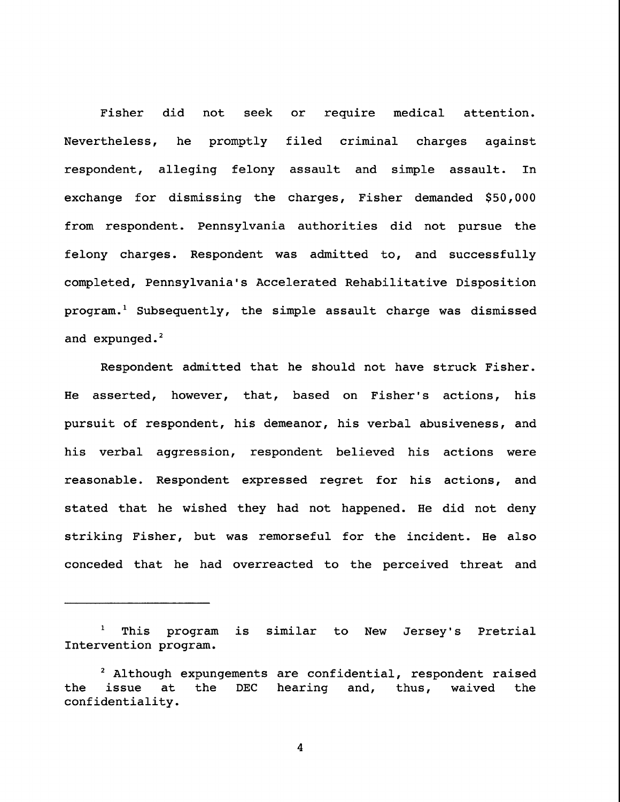Fisher did not seek or require medical attention. Nevertheless, he promptly filed criminal charges against respondent, alleging felony assault and simple assault. In exchange for dismissing the charges, Fisher demanded \$50,000 from respondent. Pennsylvania authorities did not pursue the felony charges. Respondent was admitted to, and successfully completed, Pennsylvania's Accelerated Rehabilitative Disposition program.<sup>1</sup> Subsequently, the simple assault charge was dismissed and expunged. $^2$ 

Respondent admitted that he should not have struck Fisher. He asserted, however, that, based on Fisher's actions, his pursuit of respondent, his demeanor, his verbal abusiveness, and his verbal aggression, respondent believed his actions were reasonable. Respondent expressed regret for his actions, and stated that he wished they had not happened. He did not deny striking Fisher, but was remorseful for the incident. He also conceded that he had overreacted to the perceived threat and

i This program is similar to New Jersey's Pretrial Intervention program.

<sup>&</sup>lt;sup>2</sup> Although expungements are confidential, respondent raised the issue at the DEC hearing and, thus, waived the confidentiality.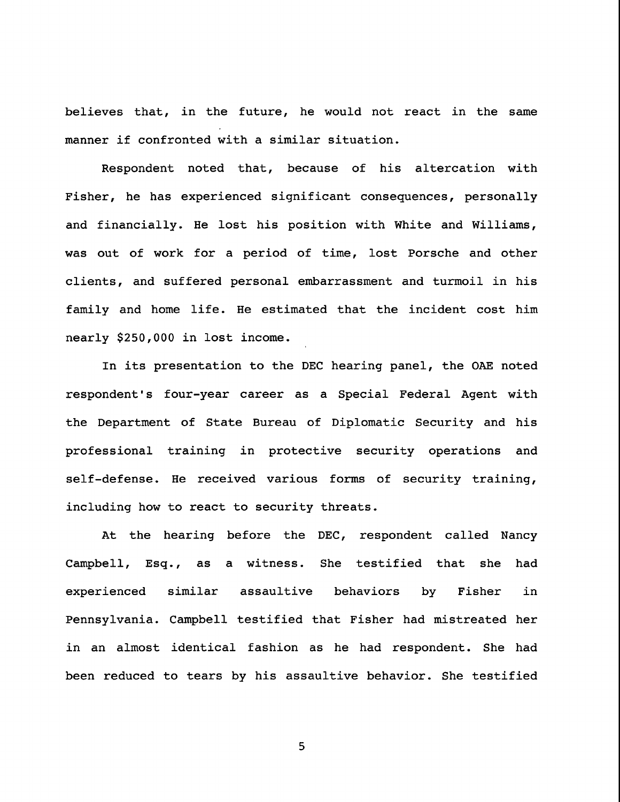believes that, in the future, he would not react in the same manner if confronted with a similar situation.

Respondent noted that, because of his altercation with Fisher, he has experienced significant consequences, personally and financially. He lost his position with White and Williams, was out of work for a period of time, lost Porsche and other clients, and suffered personal embarrassment and turmoil in his family and home life. He estimated that the incident cost him nearly \$250,000 in lost income.

In its presentation to the DEC hearing panel, the OAE noted respondent's four-year career as a Special Federal Agent with the Department of State Bureau of Diplomatic Security and his professional training in protective security operations and self-defense. He received various forms of security training, including how to react to security threats.

At the hearing before the DEC, respondent called Nancy Campbell, Esq., as a witness. She testified that she had experienced similar assaultive behaviors by Fisher in Pennsylvania. Campbell testified that Fisher had mistreated her in an almost identical fashion as he had respondent. She had been reduced to tears by his assaultive behavior. She testified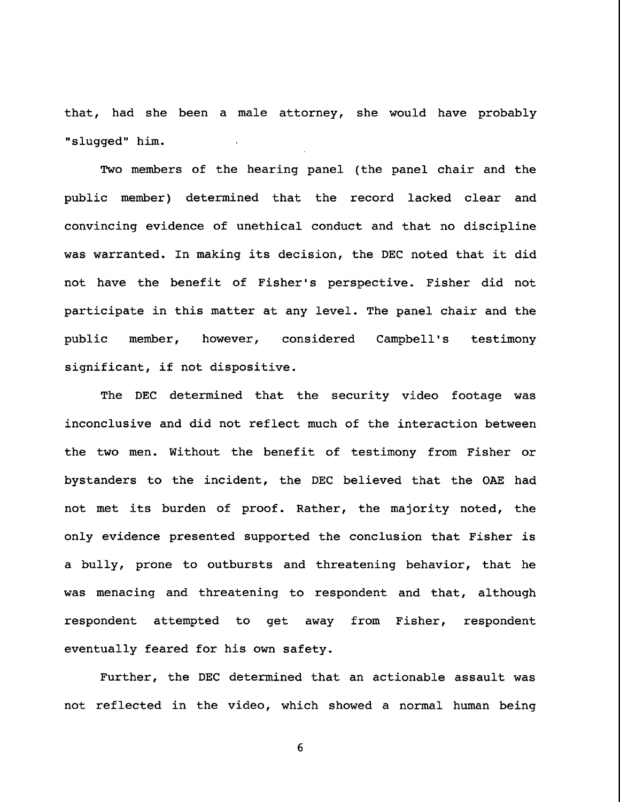that, had she been a male attorney, she would have probably "slugged" him.

Two members of the hearing panel (the panel chair and the public member) determined that the record lacked clear and convincing evidence of unethical conduct and that no discipline was warranted. In making its decision, the DEC noted that it did not have the benefit of Fisher's perspective. Fisher did not participate in this matter at any level. The panel chair and the public member, however, considered Campbell's testimony significant, if not dispositive.

The DEC determined that the security video footage was inconclusive and did not reflect much of the interaction between the two men. Without the benefit of testimony from Fisher or bystanders to the incident, the DEC believed that the OAE had not met its burden of proof. Rather, the majority noted, the only evidence presented supported the conclusion that Fisher is a bully, prone to outbursts and threatening behavior, that he was menacing and threatening to respondent and that, although respondent attempted to get away from Fisher, respondent eventually feared for his own safety.

Further, the DEC determined that an actionable assault was not reflected in the video, which showed a normal human being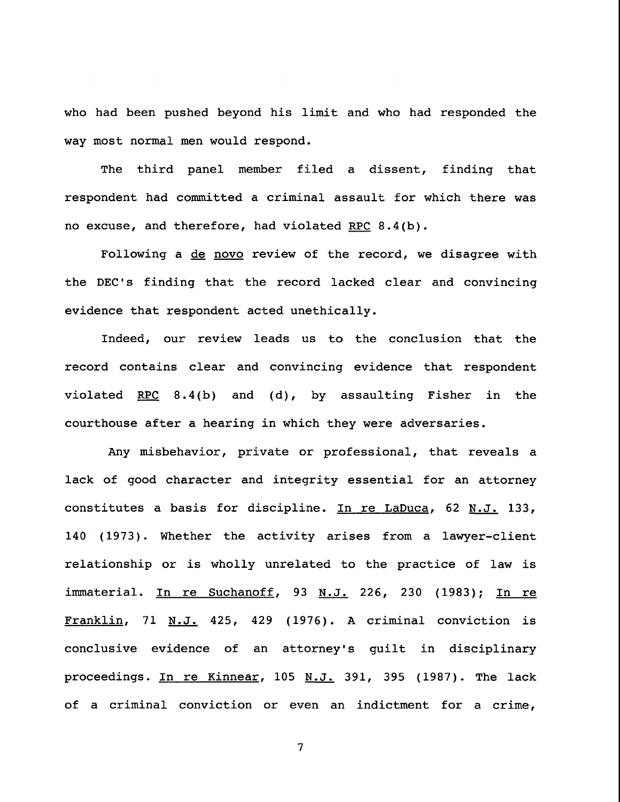who had been pushed beyond his limit and who had responded the way most normal men would respond.

The third panel member filed a dissent, finding that respondent had committed a criminal assault for which there was no excuse, and therefore, had violated RPC  $8.4(b)$ .

Following a de novo review of the record, we disagree with the DEC's finding that the record lacked clear and convincing evidence that respondent acted unethically.

Indeed, our review leads us to the conclusion that the record contains clear and convincing evidence that respondent violated RPC 8.4(b) and (d), by assaulting Fisher in the courthouse after a hearing in which they were adversaries.

Any misbehavior, private or professional, that reveals a lack of good character and integrity essential for an attorney constitutes a basis for discipline. In re LaDuca, 62 N.J. 133, 140 (1973). Whether the activity arises from a lawyer-client relationship or is wholly unrelated to the practice of law is immaterial. In re Suchanoff, 93 N.J. 226, 230 (1983); In re Franklin, 71 N.J. 425, 429 (1976). A criminal conviction is conclusive evidence of an attorney's guilt in disciplinary proceedings. In re Kinnear, 105 N.J. 391, 395 (1987). The lack of a criminal conviction or even an indictment for a crime,

 $\overline{7}$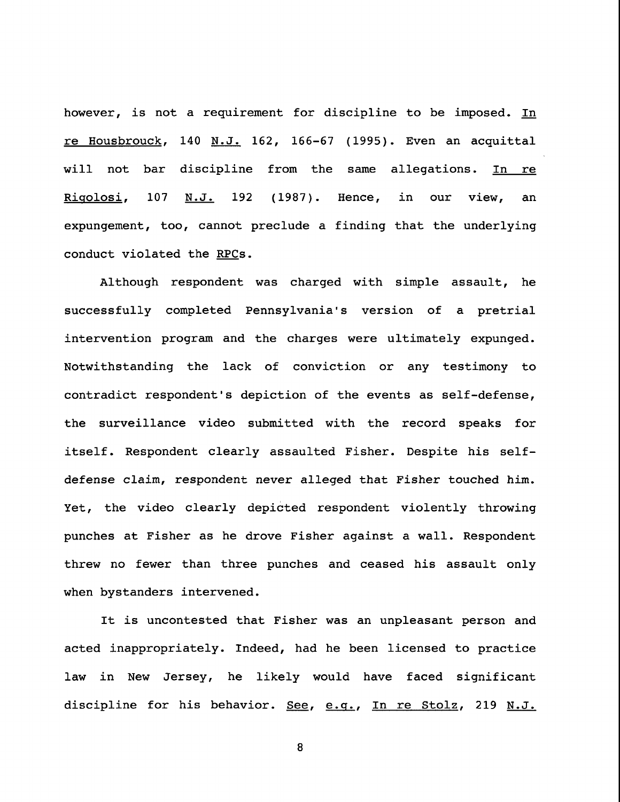however, is not a requirement for discipline to be imposed. In re Housbrouck, 140 N.J. 162, 166-67 (1995). Even an acquittal will not bar discipline from the same allegations. In re Rigolosi, 107 N.J. 192 (1987). Hence, in our view, an expungement, too, cannot preclude a finding that the underlying conduct violated the RPCs.

Although respondent was charged with simple assault, he successfully completed Pennsylvania's version of a pretrial intervention program and the charges were ultimately expunged. Notwithstanding the lack of conviction or any testimony to contradict respondent's depiction of the events as self-defense, the surveillance video submitted with the record speaks for itself. Respondent clearly assaulted Fisher. Despite his selfdefense claim, respondent never alleged that Fisher touched him. Yet, the video clearly depicted respondent violently throwing punches at Fisher as he drove Fisher against a wall. Respondent threw no fewer than three punches and ceased his assault only when bystanders intervened.

It is uncontested that Fisher was an unpleasant person and acted inappropriately. Indeed, had he been licensed to practice law in New Jersey, he likely would have faced significant discipline for his behavior. See, e.g., In re Stolz, 219 N.J.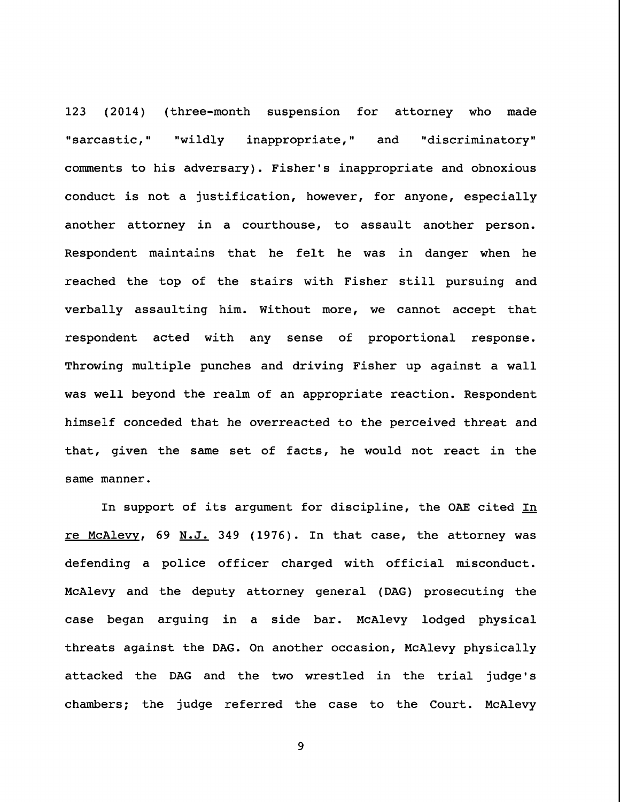123 (2014) (three-month suspension for attorney who made "sarcastic," "wildly inappropriate," and "discriminatory" comments to his adversary). Fisher's inappropriate and obnoxious conduct is not a justification, however, for anyone, especially another attorney in a courthouse, to assault another person. Respondent maintains that he felt he was in danger when he reached the top of the stairs with Fisher still pursuing and verbally assaulting him. Without more, we cannot accept that respondent acted with any sense of proportional response. Throwing multiple punches and driving Fisher up against a wall was well beyond the realm of an appropriate reaction. Respondent himself conceded that he overreacted to the perceived threat and that, given the same set of facts, he would not react in the same manner.

In support of its argument for discipline, the OAE cited In re McAlevy, 69 N.J. 349 (1976). In that case, the attorney was defending a police officer charged with official misconduct. McAlevy and the deputy attorney general (DAG) prosecuting the case began arguing in a side bar. McAlevy lodged physical threats against the DAG. On another occasion, McAlevy physically attacked the DAG and the two wrestled in the trial judge's chambers; the judge referred the case to the Court. McAlevy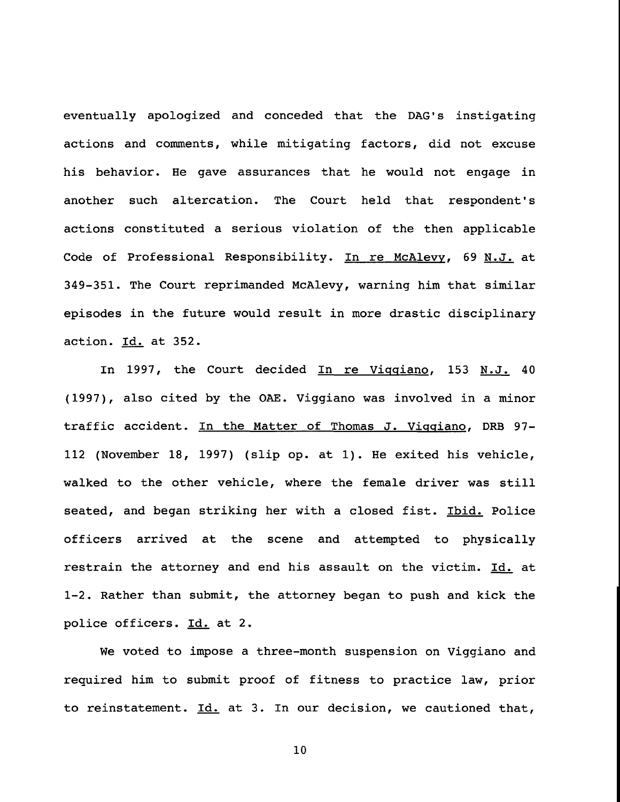eventually apologized and conceded that the DAG's instigating actions and comments, while mitigating factors, did not excuse his behavior. He gave assurances that he would not engage in another such altercation. The Court held that respondent's actions constituted a serious violation of the then applicable Code of Professional Responsibility. In re McAlevy, 69 N.J. at 349-351. The Court reprimanded McAlevy, warning him that similar episodes in the future would result in more drastic disciplinary action. Id. at 352.

In 1997, the Court decided In re Viqqiano, 153 N.J. 40 (1997), also cited by the OAE. Viggiano was involved in a minor traffic accident. In the Matter of Thomas J. Viqqiano, DRB 97- 112 (November 18, 1997) (slip op. at i). He exited his vehicle, walked to the other vehicle, where the female driver was still seated, and began striking her with a closed fist. Ibid. Police officers arrived at the scene and attempted to physically restrain the attorney and end his assault on the victim. Id. at 1-2. Rather than submit, the attorney began to push and kick the police officers. Id. at 2.

We voted to impose a three-month suspension on Viggiano and required him to submit proof of fitness to practice law, prior to reinstatement. Id. at 3. In our decision, we cautioned that,

I0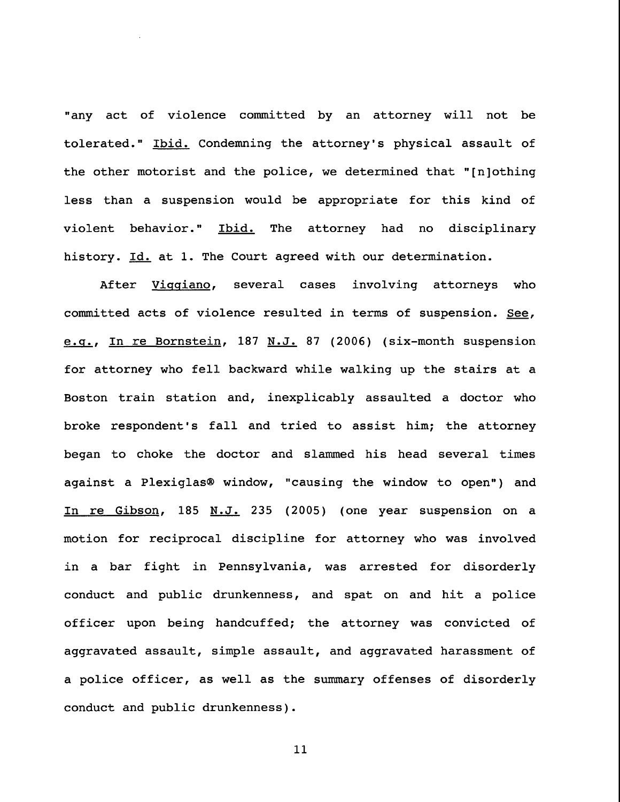"any act of violence committed by an attorney will not be tolerated." Ibid. Condemning the attorney's physical assault of the other motorist and the police, we determined that "[n]othing less than a suspension would be appropriate for this kind of violent behavior." Ibid. The attorney had no disciplinary history. Id. at 1. The Court agreed with our determination.

After Viqqiano, several cases involving attorneys who committed acts of violence resulted in terms of suspension. See, e.q., In re Bornstein, 187 N.J. 87 (2006) (six-month suspension for attorney who fell backward while walking up the stairs at a Boston train station and, inexplicably assaulted a doctor who broke respondent's fall and tried to assist him; the attorney began to choke the doctor and slammed his head several times against a Plexiglas® window, "causing the window to open") and In re Gibson, 185 N.J. 235 (2005) (one year suspension on a motion for reciprocal discipline for attorney who was involved in a bar fight in Pennsylvania, was arrested for disorderly conduct and public drunkenness, and spat on and hit a police officer upon being handcuffed; the attorney was convicted of aggravated assault, simple assault, and aggravated harassment of a police officer, as well as the summary offenses of disorderly conduct and public drunkenness).

Ii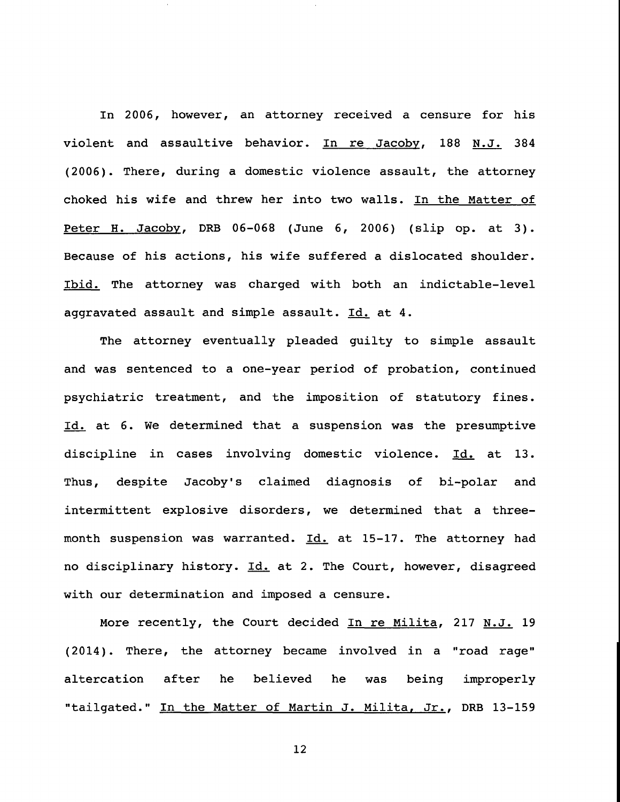In 2006, however, an attorney received a censure for his violent and assaultive behavior. In re Jacoby, 188 N.J. 384 (2006). There, during a domestic violence assault, the attorney choked his wife and threw her into two walls. In the Matter of Peter H. Jacoby, DRB 06-068 (June 6, 2006) (slip op. at 3). Because of his actions, his wife suffered a dislocated shoulder. Ibid. The attorney was charged with both an indictable-level aggravated assault and simple assault. Id. at 4.

The attorney eventually pleaded guilty to simple assault and was sentenced to a one-year period of probation, continued psychiatric treatment, and the imposition of statutory fines. Id. at 6. We determined that a suspension was the presumptive discipline in cases involving domestic violence. Id. at 13. Thus, despite Jacoby's claimed diagnosis of bi-polar and intermittent explosive disorders, we determined that a threemonth suspension was warranted. Id. at 15-17. The attorney had no disciplinary history. Id. at 2. The Court, however, disagreed with our determination and imposed a censure.

More recently, the Court decided In re Milita, 217 N.J. 19 (2014). There, the attorney became involved in a "road rage" altercation after he believed he was being improperly "tailgated." In the Matter of Martin J. Milita, Jr., DRB 13-159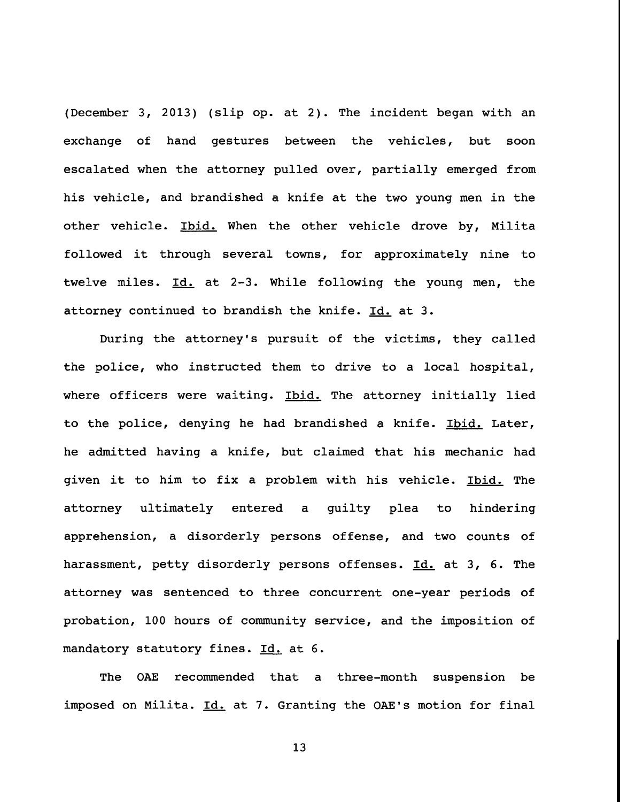(December 3, 2013) (slip op. at 2). The incident began with an exchange of hand gestures between the vehicles, but soon escalated when the attorney pulled over, partially emerged from his vehicle, and brandished a knife at the two young men in the other vehicle. Ibid. When the other vehicle drove by, Milita followed it through several towns, for approximately nine to twelve miles. Id. at 2-3. While following the young men, the attorney continued to brandish the knife. Id. at 3.

During the attorney's pursuit of the victims, they called the police, who instructed them to drive to a local hospital, where officers were waiting. Ibid. The attorney initially lied to the police, denying he had brandished a knife. Ibid. Later, he admitted having a knife, but claimed that his mechanic had given it to him to fix a problem with his vehicle. Ibid. The attorney ultimately entered a guilty plea to hindering apprehension, a disorderly persons offense, and two counts of harassment, petty disorderly persons offenses. Id. at 3, 6. The attorney was sentenced to three concurrent one-year periods of probation, 100 hours of community service, and the imposition of mandatory statutory fines. Id. at 6.

The OAE recommended that a three-month suspension be imposed on Milita. Id. at 7. Granting the OAE's motion for final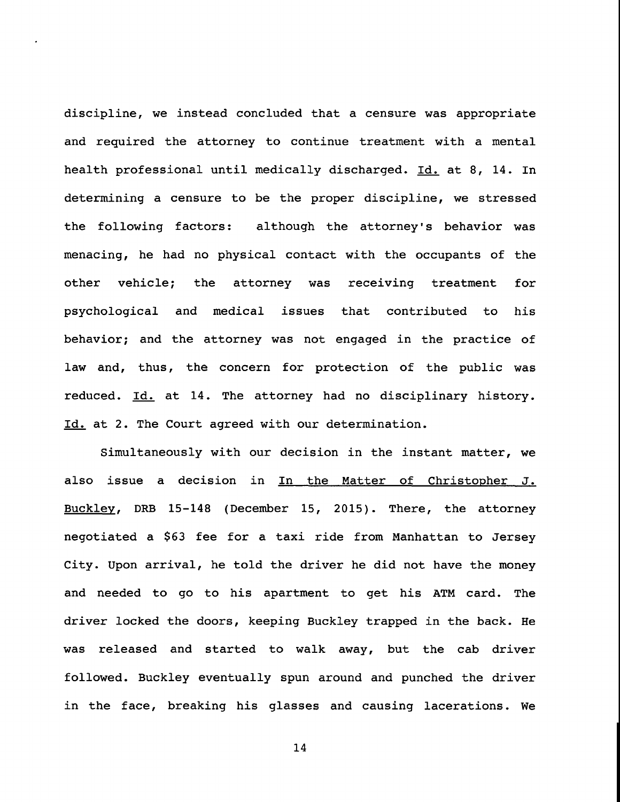discipline, we instead concluded that a censure was appropriate and required the attorney to continue treatment with a mental health professional until medically discharged. Id. at 8, 14. In determining a censure to be the proper discipline, we stressed the following factors: although the attorney's behavior was menacing, he had no physical contact with the occupants of the other vehicle; the attorney was receiving treatment for psychological and medical issues that contributed to his behavior; and the attorney was not engaged in the practice of law and, thus, the concern for protection of the public was reduced. Id. at 14. The attorney had no disciplinary history. Id. at 2. The Court agreed with our determination.

Simultaneously with our decision in the instant matter, we also issue a decision in In the Matter of Christopher J. Buckley, DRB 15-148 (December 15, 2015). There, the attorney negotiated a \$63 fee for a taxi ride from Manhattan to Jersey City. Upon arrival, he told the driver he did not have the money and needed to go to his apartment to get his ATM card. The driver locked the doors, keeping Buckley trapped in the back. He was released and started to walk away, but the cab driver followed. Buckley eventually spun around and punched the driver in the face, breaking his glasses and causing lacerations. We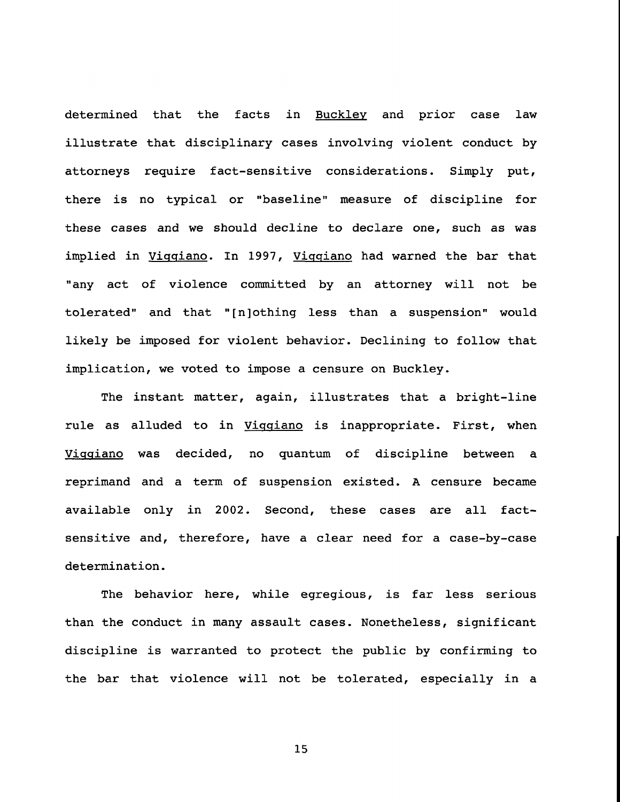determined that the facts in Buckley and prior case law illustrate that disciplinary cases involving violent conduct by attorneys require fact-sensitive considerations. Simply put, there is no typical or "baseline" measure of discipline for these cases and we should decline to declare one, such as was implied in Viqqiano. In 1997, Viqqiano had warned the bar that "any act of violence committed by an attorney will not be tolerated" and that "[n]othing less than a suspension" would likely be imposed for violent behavior. Declining to follow that implication, we voted to impose a censure on Buckley.

The instant matter, again, illustrates that a bright-line rule as alluded to in Vigqiano is inappropriate. First, when Viqqiano was decided, no quantum of discipline between a reprimand and a term of suspension existed. A censure became available only in 2002. Second, these cases are all factsensitive and, therefore, have a clear need for a case-by-case determination.

The behavior here, while egregious, is far less serious than the conduct in many assault cases. Nonetheless, significant discipline is warranted to protect the public by confirming to the bar that violence will not be tolerated, especially in a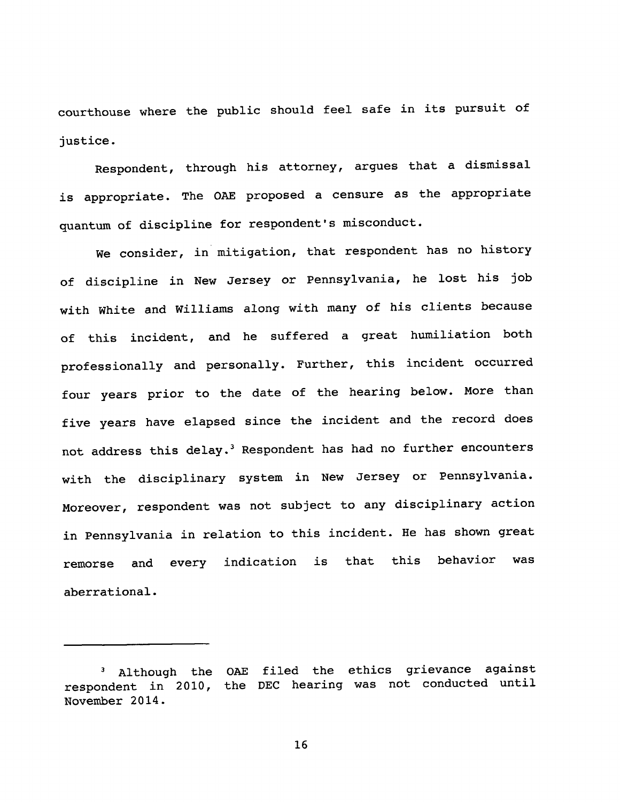courthouse where the public should feel safe in its pursuit of justice.

Respondent, through his attorney, argues that a dismissal is appropriate. The OAE proposed a censure as the appropriate quantum of discipline for respondent's misconduct.

We consider, in mitigation, that respondent has no history of discipline in New Jersey or Pennsylvania, he lost his job with White and Williams along with many of his clients because of this incident, and he suffered a great humiliation both professionally and personally. Further, this incident occurred four years prior to the date of the hearing below. More than five years have elapsed since the incident and the record does not address this delay.<sup>3</sup> Respondent has had no further encounters with the disciplinary system in New Jersey or Pennsylvania. Moreover, respondent was not subject to any disciplinary action in Pennsylvania in relation to this incident. He has shown great remorse and every indication is that this behavior was aberrational.

<sup>3</sup> Although the OAE filed the ethics grievance against respondent in 2010, the DEC hearing was not conducted until November 2014.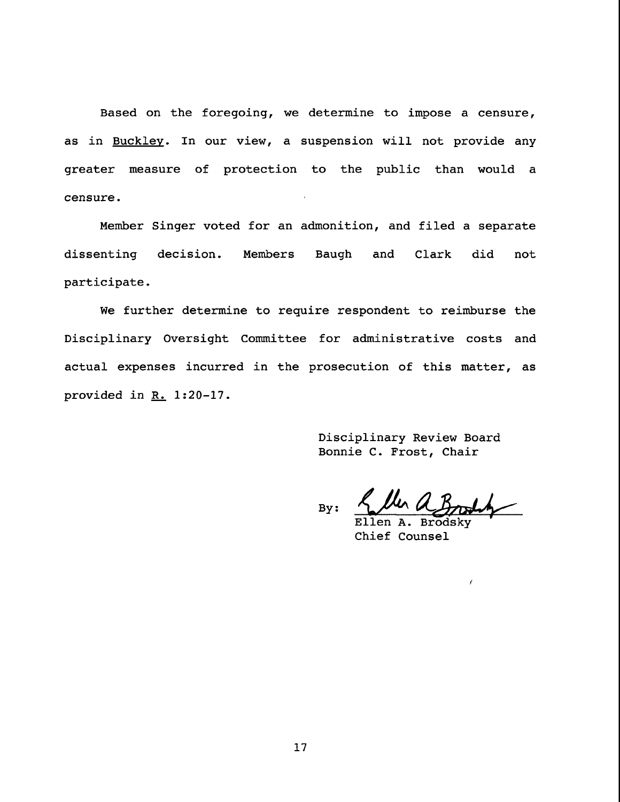Based on the foregoing, we determine to impose a censure, as in Buckley. In our view, a suspension will not provide any greater measure of protection to the public than would a censure.

Member Singer voted for an admonition, and filed a separate dissenting decision. Members Baugh and Clark did not participate.

We further determine to require respondent to reimburse the Disciplinary Oversight Committee for administrative costs and actual expenses incurred in the prosecution of this matter, as provided in  $R_$ . 1:20-17.

> Disciplinary Review Board Bonnie C. Frost, Chair

By:

Ellen Chief Counsel